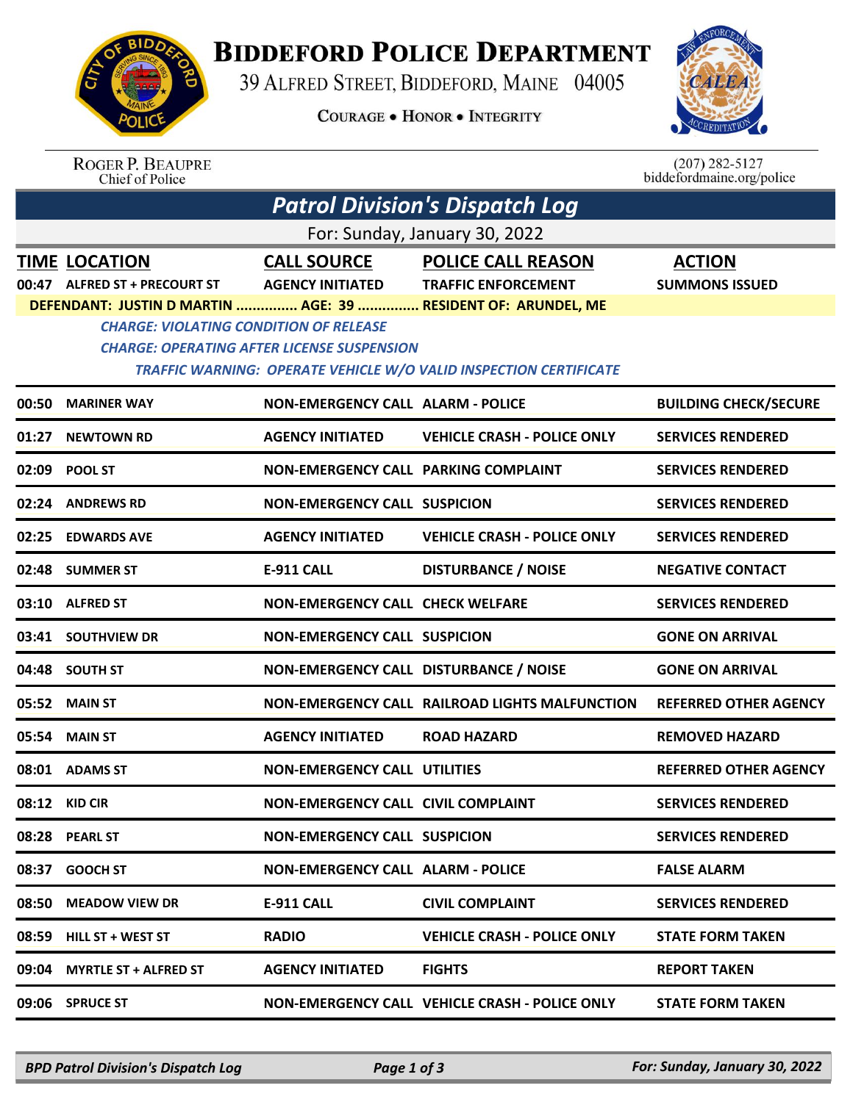

## **BIDDEFORD POLICE DEPARTMENT**

39 ALFRED STREET, BIDDEFORD, MAINE 04005

**COURAGE . HONOR . INTEGRITY** 



ROGER P. BEAUPRE<br>Chief of Police

 $(207)$  282-5127<br>biddefordmaine.org/police

| <b>Patrol Division's Dispatch Log</b> |                                                                                                                                                                         |                                               |                                                         |                                        |  |  |  |  |
|---------------------------------------|-------------------------------------------------------------------------------------------------------------------------------------------------------------------------|-----------------------------------------------|---------------------------------------------------------|----------------------------------------|--|--|--|--|
| For: Sunday, January 30, 2022         |                                                                                                                                                                         |                                               |                                                         |                                        |  |  |  |  |
| 00:47                                 | <b>TIME LOCATION</b><br><b>ALFRED ST + PRECOURT ST</b><br>DEFENDANT: JUSTIN D MARTIN  AGE: 39  RESIDENT OF: ARUNDEL, ME                                                 | <b>CALL SOURCE</b><br><b>AGENCY INITIATED</b> | <b>POLICE CALL REASON</b><br><b>TRAFFIC ENFORCEMENT</b> | <b>ACTION</b><br><b>SUMMONS ISSUED</b> |  |  |  |  |
|                                       | <b>CHARGE: VIOLATING CONDITION OF RELEASE</b><br><b>CHARGE: OPERATING AFTER LICENSE SUSPENSION</b><br>TRAFFIC WARNING: OPERATE VEHICLE W/O VALID INSPECTION CERTIFICATE |                                               |                                                         |                                        |  |  |  |  |
| 00:50                                 | <b>MARINER WAY</b>                                                                                                                                                      | <b>NON-EMERGENCY CALL ALARM - POLICE</b>      |                                                         | <b>BUILDING CHECK/SECURE</b>           |  |  |  |  |
| 01:27                                 | <b>NEWTOWN RD</b>                                                                                                                                                       | <b>AGENCY INITIATED</b>                       | <b>VEHICLE CRASH - POLICE ONLY</b>                      | <b>SERVICES RENDERED</b>               |  |  |  |  |
| 02:09                                 | <b>POOL ST</b>                                                                                                                                                          | NON-EMERGENCY CALL PARKING COMPLAINT          |                                                         | <b>SERVICES RENDERED</b>               |  |  |  |  |
| 02:24                                 | <b>ANDREWS RD</b>                                                                                                                                                       | <b>NON-EMERGENCY CALL SUSPICION</b>           |                                                         | <b>SERVICES RENDERED</b>               |  |  |  |  |
| 02:25                                 | <b>EDWARDS AVE</b>                                                                                                                                                      | <b>AGENCY INITIATED</b>                       | <b>VEHICLE CRASH - POLICE ONLY</b>                      | <b>SERVICES RENDERED</b>               |  |  |  |  |
|                                       | 02:48 SUMMER ST                                                                                                                                                         | <b>E-911 CALL</b>                             | <b>DISTURBANCE / NOISE</b>                              | <b>NEGATIVE CONTACT</b>                |  |  |  |  |
|                                       | 03:10 ALFRED ST                                                                                                                                                         | <b>NON-EMERGENCY CALL CHECK WELFARE</b>       |                                                         | <b>SERVICES RENDERED</b>               |  |  |  |  |
|                                       | 03:41 SOUTHVIEW DR                                                                                                                                                      | <b>NON-EMERGENCY CALL SUSPICION</b>           |                                                         | <b>GONE ON ARRIVAL</b>                 |  |  |  |  |
|                                       | 04:48 SOUTH ST                                                                                                                                                          | NON-EMERGENCY CALL DISTURBANCE / NOISE        |                                                         | <b>GONE ON ARRIVAL</b>                 |  |  |  |  |
|                                       | 05:52 MAIN ST                                                                                                                                                           |                                               | <b>NON-EMERGENCY CALL RAILROAD LIGHTS MALFUNCTION</b>   | <b>REFERRED OTHER AGENCY</b>           |  |  |  |  |
|                                       | 05:54 MAIN ST                                                                                                                                                           | <b>AGENCY INITIATED</b>                       | <b>ROAD HAZARD</b>                                      | <b>REMOVED HAZARD</b>                  |  |  |  |  |
|                                       | 08:01 ADAMS ST                                                                                                                                                          | <b>NON-EMERGENCY CALL UTILITIES</b>           |                                                         | <b>REFERRED OTHER AGENCY</b>           |  |  |  |  |
|                                       | 08:12 KID CIR                                                                                                                                                           | <b>NON-EMERGENCY CALL CIVIL COMPLAINT</b>     |                                                         | <b>SERVICES RENDERED</b>               |  |  |  |  |
|                                       | 08:28 PEARL ST                                                                                                                                                          | <b>NON-EMERGENCY CALL SUSPICION</b>           |                                                         | <b>SERVICES RENDERED</b>               |  |  |  |  |
|                                       | 08:37 GOOCH ST                                                                                                                                                          | <b>NON-EMERGENCY CALL ALARM - POLICE</b>      |                                                         | <b>FALSE ALARM</b>                     |  |  |  |  |
| 08:50                                 | <b>MEADOW VIEW DR</b>                                                                                                                                                   | <b>E-911 CALL</b>                             | <b>CIVIL COMPLAINT</b>                                  | <b>SERVICES RENDERED</b>               |  |  |  |  |
|                                       | 08:59 HILL ST + WEST ST                                                                                                                                                 | <b>RADIO</b>                                  | <b>VEHICLE CRASH - POLICE ONLY</b>                      | <b>STATE FORM TAKEN</b>                |  |  |  |  |
|                                       | 09:04 MYRTLE ST + ALFRED ST                                                                                                                                             | <b>AGENCY INITIATED</b>                       | <b>FIGHTS</b>                                           | <b>REPORT TAKEN</b>                    |  |  |  |  |
|                                       | 09:06 SPRUCE ST                                                                                                                                                         |                                               | NON-EMERGENCY CALL VEHICLE CRASH - POLICE ONLY          | <b>STATE FORM TAKEN</b>                |  |  |  |  |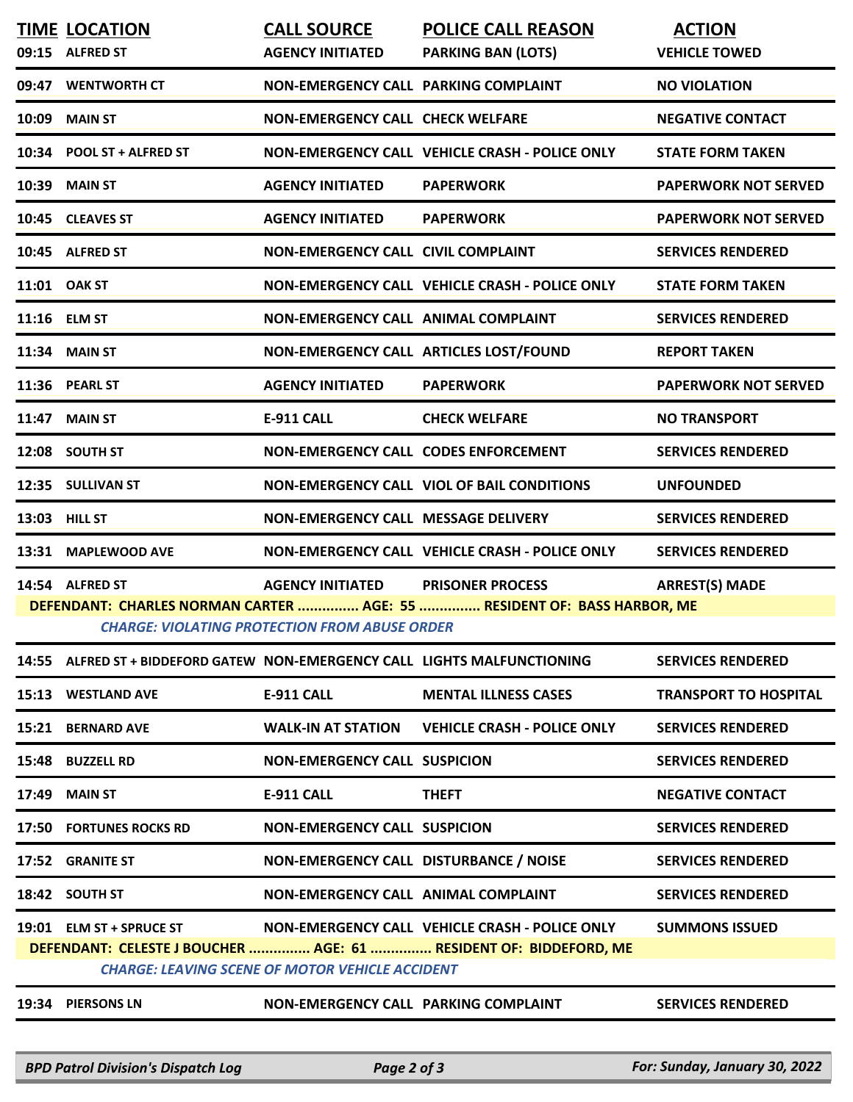|                                                                                                                                 | <b>TIME LOCATION</b>                                                       | <b>CALL SOURCE</b>                         | POLICE CALL REASON                             | <b>ACTION</b>                |  |  |
|---------------------------------------------------------------------------------------------------------------------------------|----------------------------------------------------------------------------|--------------------------------------------|------------------------------------------------|------------------------------|--|--|
|                                                                                                                                 | 09:15 ALFRED ST                                                            | <b>AGENCY INITIATED</b>                    | <b>PARKING BAN (LOTS)</b>                      | <b>VEHICLE TOWED</b>         |  |  |
|                                                                                                                                 | 09:47 WENTWORTH CT                                                         | NON-EMERGENCY CALL PARKING COMPLAINT       |                                                | <b>NO VIOLATION</b>          |  |  |
|                                                                                                                                 | <b>10:09 MAIN ST</b>                                                       | <b>NON-EMERGENCY CALL CHECK WELFARE</b>    |                                                | <b>NEGATIVE CONTACT</b>      |  |  |
|                                                                                                                                 | 10:34 POOL ST + ALFRED ST                                                  |                                            | NON-EMERGENCY CALL VEHICLE CRASH - POLICE ONLY | <b>STATE FORM TAKEN</b>      |  |  |
|                                                                                                                                 | <b>10:39 MAIN ST</b>                                                       | <b>AGENCY INITIATED</b>                    | <b>PAPERWORK</b>                               | <b>PAPERWORK NOT SERVED</b>  |  |  |
|                                                                                                                                 | 10:45 CLEAVES ST                                                           | <b>AGENCY INITIATED</b>                    | <b>PAPERWORK</b>                               | <b>PAPERWORK NOT SERVED</b>  |  |  |
|                                                                                                                                 | 10:45 ALFRED ST                                                            | <b>NON-EMERGENCY CALL CIVIL COMPLAINT</b>  |                                                | <b>SERVICES RENDERED</b>     |  |  |
|                                                                                                                                 | 11:01 OAK ST                                                               |                                            | NON-EMERGENCY CALL VEHICLE CRASH - POLICE ONLY | <b>STATE FORM TAKEN</b>      |  |  |
|                                                                                                                                 | 11:16 ELM ST                                                               | NON-EMERGENCY CALL ANIMAL COMPLAINT        |                                                | <b>SERVICES RENDERED</b>     |  |  |
|                                                                                                                                 | <b>11:34 MAIN ST</b>                                                       |                                            | NON-EMERGENCY CALL ARTICLES LOST/FOUND         | <b>REPORT TAKEN</b>          |  |  |
|                                                                                                                                 | 11:36 PEARL ST                                                             | <b>AGENCY INITIATED</b>                    | <b>PAPERWORK</b>                               | <b>PAPERWORK NOT SERVED</b>  |  |  |
|                                                                                                                                 | <b>11:47 MAIN ST</b>                                                       | E-911 CALL                                 | <b>CHECK WELFARE</b>                           | <b>NO TRANSPORT</b>          |  |  |
|                                                                                                                                 | 12:08 SOUTH ST                                                             | NON-EMERGENCY CALL CODES ENFORCEMENT       |                                                | <b>SERVICES RENDERED</b>     |  |  |
|                                                                                                                                 | 12:35 SULLIVAN ST                                                          |                                            | NON-EMERGENCY CALL VIOL OF BAIL CONDITIONS     | <b>UNFOUNDED</b>             |  |  |
|                                                                                                                                 | 13:03 HILL ST                                                              | NON-EMERGENCY CALL MESSAGE DELIVERY        |                                                | <b>SERVICES RENDERED</b>     |  |  |
|                                                                                                                                 | 13:31 MAPLEWOOD AVE                                                        |                                            | NON-EMERGENCY CALL VEHICLE CRASH - POLICE ONLY | <b>SERVICES RENDERED</b>     |  |  |
|                                                                                                                                 | 14:54 ALFRED ST                                                            | <b>AGENCY INITIATED</b>                    | <b>PRISONER PROCESS</b>                        | <b>ARREST(S) MADE</b>        |  |  |
| DEFENDANT: CHARLES NORMAN CARTER  AGE: 55  RESIDENT OF: BASS HARBOR, ME<br><b>CHARGE: VIOLATING PROTECTION FROM ABUSE ORDER</b> |                                                                            |                                            |                                                |                              |  |  |
|                                                                                                                                 | 14:55 ALFRED ST + BIDDEFORD GATEW NON-EMERGENCY CALL LIGHTS MALFUNCTIONING |                                            |                                                | <b>SERVICES RENDERED</b>     |  |  |
|                                                                                                                                 | 15:13 WESTLAND AVE                                                         | <b>E-911 CALL</b>                          | <b>MENTAL ILLNESS CASES</b>                    | <b>TRANSPORT TO HOSPITAL</b> |  |  |
|                                                                                                                                 | 15:21 BERNARD AVE                                                          | <b>WALK-IN AT STATION</b>                  | <b>VEHICLE CRASH - POLICE ONLY</b>             | <b>SERVICES RENDERED</b>     |  |  |
|                                                                                                                                 | 15:48 BUZZELL RD                                                           | <b>NON-EMERGENCY CALL SUSPICION</b>        |                                                | <b>SERVICES RENDERED</b>     |  |  |
|                                                                                                                                 | 17:49 MAIN ST                                                              | <b>E-911 CALL</b>                          | <b>THEFT</b>                                   | <b>NEGATIVE CONTACT</b>      |  |  |
|                                                                                                                                 | 17:50 FORTUNES ROCKS RD                                                    | <b>NON-EMERGENCY CALL SUSPICION</b>        |                                                | <b>SERVICES RENDERED</b>     |  |  |
|                                                                                                                                 | 17:52 GRANITE ST                                                           | NON-EMERGENCY CALL DISTURBANCE / NOISE     |                                                | <b>SERVICES RENDERED</b>     |  |  |
|                                                                                                                                 | 18:42 SOUTH ST                                                             | <b>NON-EMERGENCY CALL ANIMAL COMPLAINT</b> |                                                | <b>SERVICES RENDERED</b>     |  |  |
|                                                                                                                                 | 19:01 ELM ST + SPRUCE ST                                                   |                                            | NON-EMERGENCY CALL VEHICLE CRASH - POLICE ONLY | <b>SUMMONS ISSUED</b>        |  |  |
| DEFENDANT: CELESTE J BOUCHER  AGE: 61  RESIDENT OF: BIDDEFORD, ME<br><b>CHARGE: LEAVING SCENE OF MOTOR VEHICLE ACCIDENT</b>     |                                                                            |                                            |                                                |                              |  |  |
|                                                                                                                                 |                                                                            |                                            |                                                |                              |  |  |
|                                                                                                                                 | 19:34 PIERSONS LN                                                          | NON-EMERGENCY CALL PARKING COMPLAINT       |                                                | <b>SERVICES RENDERED</b>     |  |  |

*BPD Patrol Division's Dispatch Log Page 2 of 3 For: Sunday, January 30, 2022*